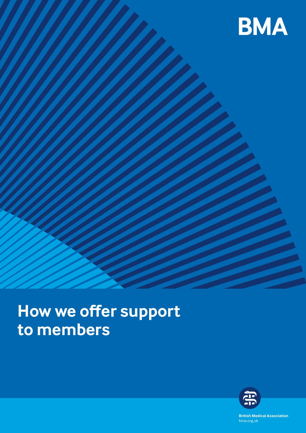

# **How we offer support to members**



**British Medical Association** bma.org.uk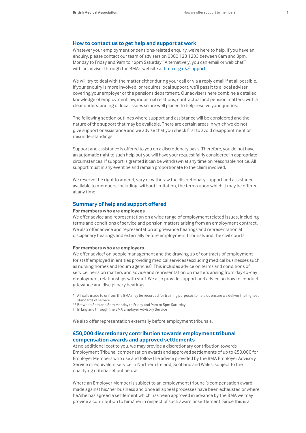## **How to contact us to get help and support at work**

Whatever your employment or pensions-related enquiry, we're here to help. If you have an enquiry, please contact our team of advisers on 0300 123 1233 between 8am and 8pm, Monday to Friday and 9am to 12pm Saturday.\* Alternatively, you can email or web chat\*\* with an adviser through the BMA's website at [bma.org.uk/support](http://bma.org.uk/support)

We will try to deal with the matter either during your call or via a reply email if at all possible. If your enquiry is more involved, or requires local support, we'll pass it to a local adviser covering your employer or the pensions department. Our advisers here combine a detailed knowledge of employment law, industrial relations, contractual and pension matters, with a clear understanding of local issues so are well placed to help resolve your queries.

The following section outlines where support and assistance will be considered and the nature of the support that may be available. There are certain areas in which we do not give support or assistance and we advise that you check first to avoid disappointment or misunderstandings.

Support and assistance is offered to you on a discretionary basis. Therefore, you do not have an automatic right to such help but you will have your request fairly considered in appropriate circumstances. If support is granted it can be withdrawn at any time on reasonable notice. All support must in any event be and remain proportionate to the claim involved.

We reserve the right to amend, vary or withdraw the discretionary support and assistance available to members, including, without limitation, the terms upon which it may be offered, at any time.

## **Summary of help and support offered**

## **For members who are employees**

We offer advice and representation on a wide range of employment related issues, including terms and conditions of service and pension matters arising from an employment contract. We also offer advice and representation at grievance hearings and representation at disciplinary hearings and externally before employment tribunals and the civil courts.

#### **For members who are employers**

We offer advice<sup>†</sup> on people management and the drawing up of contracts of employment for staff employed in entities providing medical services (excluding medical businesses such as nursing homes and locum agencies). This includes advice on terms and conditions of service, pension matters and advice and representation on matters arising from day-to-day employment relationships with staff. We also provide support and advice on how to conduct grievance and disciplinary hearings.

- \* All calls made to or from the BMA may be recorded for training purposes to help us ensure we deliver the highest standards of service
- \*\* Between 8am and 8pm Monday to Friday and 9am to 5pm Saturday.
- † In England through the BMA Employer Advisory Service

We also offer representation externally before employment tribunals.

# **£50,000 discretionary contribution towards employment tribunal compensation awards and approved settlements**

At no additional cost to you, we may provide a discretionary contribution towards Employment Tribunal compensation awards and approved settlements of up to £50,000 for Employer Members who use and follow the advice provided by the BMA Employer Advisory Service or equivalent service in Northern Ireland, Scotland and Wales, subject to the qualifying criteria set out below.

Where an Employer Member is subject to an employment tribunal's compensation award made against his/her business and once all appeal processes have been exhausted or where he/she has agreed a settlement which has been approved in advance by the BMA we may provide a contribution to him/her in respect of such award or settlement. Since this is a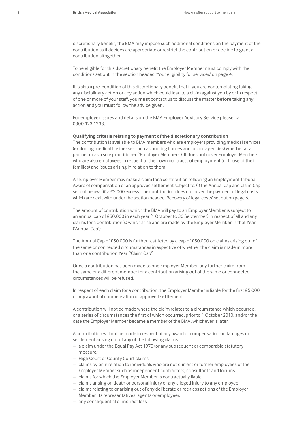discretionary benefit, the BMA may impose such additional conditions on the payment of the contribution as it decides are appropriate or restrict the contribution or decline to grant a contribution altogether.

To be eligible for this discretionary benefit the Employer Member must comply with the conditions set out in the section headed 'Your eligibility for services' on page 4.

It is also a pre-condition of this discretionary benefit that if you are contemplating taking any disciplinary action or any action which could lead to a claim against you by or in respect of one or more of your staff, you **must** contact us to discuss the matter **before** taking any action and you **must** follow the advice given.

For employer issues and details on the BMA Employer Advisory Service please call 0300 123 1233.

#### **Qualifying criteria relating to payment of the discretionary contribution**

The contribution is available to BMA members who are employers providing medical services (excluding medical businesses such as nursing homes and locum agencies) whether as a partner or as a sole practitioner ('Employer Members'). It does not cover Employer Members who are also employees in respect of their own contracts of employment (or those of their families) and issues arising in relation to them.

An Employer Member may make a claim for a contribution following an Employment Tribunal Award of compensation or an approved settlement subject to: (i) the Annual Cap and Claim Cap set out below; (ii) a £5,000 excess; The contribution does not cover the payment of legal costs which are dealt with under the section headed 'Recovery of legal costs' set out on page 6.

The amount of contribution which the BMA will pay to an Employer Member is subject to an annual cap of £50,000 in each year (1 October to 30 September) in respect of all and any claims for a contribution(s) which arise and are made by the Employer Member in that Year ('Annual Cap').

The Annual Cap of £50,000 is further restricted by a cap of £50,000 on claims arising out of the same or connected circumstances irrespective of whether the claim is made in more than one contribution Year ('Claim Cap').

Once a contribution has been made to one Employer Member, any further claim from the same or a different member for a contribution arising out of the same or connected circumstances will be refused.

In respect of each claim for a contribution, the Employer Member is liable for the first £5,000 of any award of compensation or approved settlement.

A contribution will not be made where the claim relates to a circumstance which occurred, or a series of circumstances the first of which occurred, prior to 1 October 2010, and/or the date the Employer Member became a member of the BMA, whichever is later.

A contribution will not be made in respect of any award of compensation or damages or settlement arising out of any of the following claims:

- a claim under the Equal Pay Act 1970 (or any subsequent or comparable statutory measure)
- High Court or County Court claims
- claims by or in relation to individuals who are not current or former employees of the Employer Member such as independent contractors, consultants and locums
- claims for which the Employer Member is contractually liable
- claims arising on death or personal injury or any alleged injury to any employee
- claims relating to or arising out of any deliberate or reckless actions of the Employer Member, its representatives, agents or employees
- any consequential or indirect loss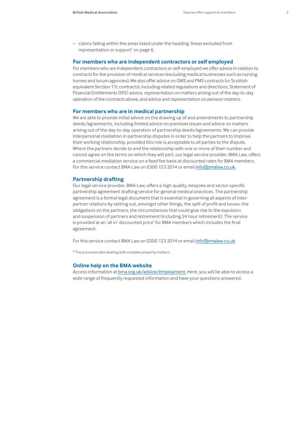– claims falling within the areas listed under the heading 'Areas excluded from representation or support' on page 6.

## **For members who are independent contractors or self employed**

For members who are independent contractors or self-employed we offer advice in relation to contracts for the provision of medical services (excluding medical businesses such as nursing homes and locum agencies). We also offer advice on GMS and PMS contracts (or Scottish equivalent Section 17c contracts), including related regulations and directions, Statement of Financial Entitlements (SFE) advice, representation on matters arising out of the day-to-day operation of the contracts above, and advice and representation on pension matters.

## **For members who are in medical partnership**

We are able to provide initial advice on the drawing up of and amendments to partnership deeds/agreements, including limited advice on premises issues and advice on matters arising out of the day-to-day operation of partnership deeds/agreements. We can provide interpersonal mediation in partnership disputes in order to help the partners to improve their working relationship, provided this role is acceptable to all parties to the dispute. Where the partners decide to end the relationship with one or more of their number and cannot agree on the terms on which they will part, our legal service provider, BMA Law, offers a commercial mediation service on a fixed fee basis at discounted rates for BMA members. For this service contact BMA Law on 0300 123 2014 or email info@bmalaw.co.uk.

## **Partnership drafting**

Our legal service provider, BMA Law, offers a high quality, bespoke and sector-specific partnership agreement drafting service for general medical practices. The partnership agreement is a formal legal document that is essential in governing all aspects of interpartner relations by setting out, amongst other things, the split of profit and losses, the obligations on the partners, the circumstances that could give rise to the expulsion and suspension of partners and retirement (including 24 hour retirement). The service is provided at an 'all in' discounted price<sup>\*</sup> for BMA members which includes the final agreement.

For this service contact BMA Law on 0300 123 2014 or email info@bmalaw.co.uk.

\* The price excludes dealing with complex property matters.

#### **Online help on the BMA website**

Access information at **bma.org.uk/advice/employment**. Here, you will be able to access a wide range of frequently requested information and have your questions answered.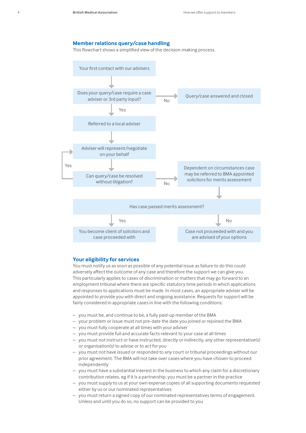# **Member relations query/case handling**

This flowchart shows a simplified view of the decision-making process.



## **Your eligibility for services**

You must notify us as soon as possible of any potential issue as failure to do this could adversely affect the outcome of any case and therefore the support we can give you. This particularly applies to cases of discrimination or matters that may go forward to an employment tribunal where there are specific statutory time periods in which applications and responses to applications must be made. In most cases, an appropriate adviser will be appointed to provide you with direct and ongoing assistance. Requests for support will be fairly considered in appropriate cases in line with the following conditions:

- you must be, and continue to be, a fully paid-up member of the BMA
- your problem or issue must not pre-date the date you joined or rejoined the BMA
- you must fully cooperate at all times with your adviser
- you must provide full and accurate facts relevant to your case at all times
- you must not instruct or have instructed, directly or indirectly, any other representative(s) or organisation(s) to advise or to act for you
- you must not have issued or responded to any court or tribunal proceedings without our prior agreement. The BMA will not take over cases where you have chosen to proceed independently
- you must have a substantial interest in the business to which any claim for a discretionary contribution relates, eg if it is a partnership, you must be a partner in the practice
- you must supply to us at your own expense copies of all supporting documents requested either by us or our nominated representatives
- you must return a signed copy of our nominated representatives terms of engagement. Unless and until you do so, no support can be provided to you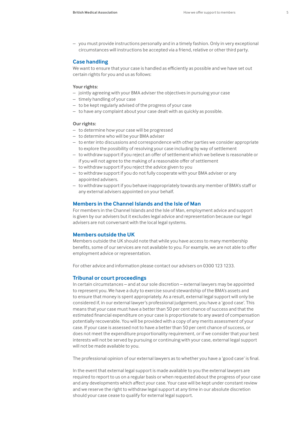– you must provide instructions personally and in a timely fashion. Only in very exceptional circumstances will instructions be accepted via a friend, relative or other third party.

## **Case handling**

We want to ensure that your case is handled as efficiently as possible and we have set out certain rights for you and us as follows:

# **Your rights:**

- jointly agreeing with your BMA adviser the objectives in pursuing your case
- timely handling of your case
- to be kept regularly advised of the progress of your case
- to have any complaint about your case dealt with as quickly as possible.

### **Our rights:**

- to determine how your case will be progressed
- to determine who will be your BMA adviser
- to enter into discussions and correspondence with other parties we consider appropriate to explore the possibility of resolving your case including by way of settlement
- to withdraw support if you reject an offer of settlement which we believe is reasonable or if you will not agree to the making of a reasonable offer of settlement
- to withdraw support if you reject the advice given to you
- to withdraw support if you do not fully cooperate with your BMA adviser or any appointed advisers.
- to withdraw support if you behave inappropriately towards any member of BMA's staff or any external advisers appointed on your behalf.

#### **Members in the Channel Islands and the Isle of Man**

For members in the Channel Islands and the Isle of Man, employment advice and support is given by our advisers but it excludes legal advice and representation because our legal advisers are not conversant with the local legal systems.

## **Members outside the UK**

Members outside the UK should note that while you have access to many membership benefits, some of our services are not available to you. For example, we are not able to offer employment advice or representation.

For other advice and information please contact our advisers on 0300 123 1233.

## **Tribunal or court proceedings**

In certain circumstances – and at our sole discretion – external lawyers may be appointed to represent you. We have a duty to exercise sound stewardship of the BMA's assets and to ensure that money is spent appropriately. As a result, external legal support will only be considered if, in our external lawyer's professional judgement, you have a 'good case'. This means that your case must have a better than 50 per cent chance of success and that the estimated financial expenditure on your case is proportionate to any award of compensation potentially recoverable. You will be provided with a copy of any merits assessment of your case. If your case is assessed not to have a better than 50 per cent chance of success, or does not meet the expenditure proportionality requirement, or if we consider that your best interests will not be served by pursuing or continuing with your case, external legal support will not be made available to you.

The professional opinion of our external lawyers as to whether you have a 'good case' is final.

In the event that external legal support is made available to you the external lawyers are required to report to us on a regular basis or when requested about the progress of your case and any developments which affect your case. Your case will be kept under constant review and we reserve the right to withdraw legal support at any time in our absolute discretion should your case cease to qualify for external legal support.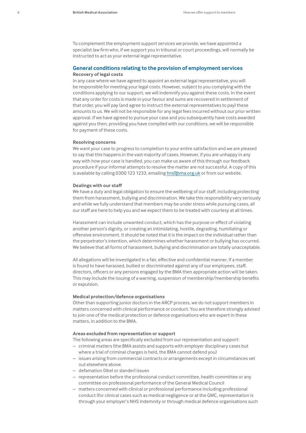To complement the employment support services we provide, we have appointed a specialist law firm who, if we support you in tribunal or court proceedings, will normally be instructed to act as your external legal representative.

# **General conditions relating to the provision of employment services Recovery of legal costs**

In any case where we have agreed to appoint an external legal representative, you will be responsible for meeting your legal costs. However, subject to you complying with the conditions applying to our support, we will indemnify you against these costs. In the event that any order for costs is made in your favour and sums are recovered in settlement of that order, you will pay (and agree to instruct the external representatives to pay) these amounts to us. We will not be responsible for any legal fees incurred without our prior written approval. If we have agreed to pursue your case and you subsequently have costs awarded against you then, providing you have complied with our conditions, we will be responsible for payment of these costs.

#### **Resolving concerns**

We want your case to progress to completion to your entire satisfaction and we are pleased to say that this happens in the vast majority of cases. However, if you are unhappy in any way with how your case is handled, you can make us aware of this through our feedback procedure if your informal attempts to resolve the matter are not successful. A copy of this is available by calling 0300 123 1233, emailing hrs@bma.org.uk or from our website.

#### **Dealings with our staff**

We have a duty and legal obligation to ensure the wellbeing of our staff, including protecting them from harassment, bullying and discrimination. We take this responsibility very seriously and while we fully understand that members may be under stress while pursuing cases, all our staff are here to help you and we expect them to be treated with courtesy at all times.

Harassment can include unwanted conduct, which has the purpose or effect of violating another person's dignity, or creating an intimidating, hostile, degrading, humiliating or offensive environment. It should be noted that it is the impact on the individual rather than the perpetrator's intention, which determines whether harassment or bullying has occurred. We believe that all forms of harassment, bullying and discrimination are totally unacceptable.

All allegations will be investigated in a fair, effective and confidential manner. If a member is found to have harassed, bullied or discriminated against any of our employees, staff, directors, officers or any persons engaged by the BMA then appropriate action will be taken. This may include the issuing of a warning, suspension of membership/membership benefits or expulsion.

## **Medical protection/defence organisations**

Other than supporting junior doctors in the ARCP process, we do not support members in matters concerned with clinical performance or conduct. You are therefore strongly advised to join one of the medical protection or defence organisations who are expert in these matters, in addition to the BMA.

## **Areas excluded from representation or support**

The following areas are specifically excluded from our representation and support:

- criminal matters (the BMA assists and supports with employer disciplinary cases but
- where a trial of criminal charges is held, the BMA cannot defend you)
- issues arising from commercial contracts or arrangements except in circumstances set out elsewhere above
- defamation (libel or slander) issues
- representation before the professional conduct committee, health committee or any committee on professional performance of the General Medical Council
- matters concerned with clinical or professional performance including professional conduct (for clinical cases such as medical negligence or at the GMC, representation is through your employer's NHS Indemnity or through medical defence organisations such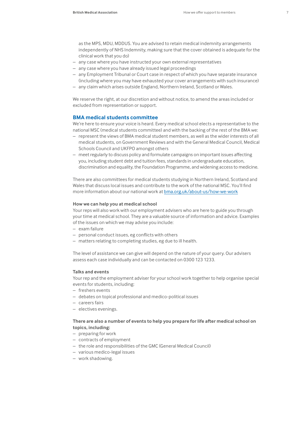as the MPS, MDU, MDDUS. You are advised to retain medical indemnity arrangements independently of NHS Indemnity, making sure that the cover obtained is adequate for the clinical work that you do)

- any case where you have instructed your own external representatives
- any case where you have already issued legal proceedings
- any Employment Tribunal or Court case in respect of which you have separate insurance (including where you may have exhausted your cover arrangements with such insurance)
- any claim which arises outside England, Northern Ireland, Scotland or Wales.

We reserve the right, at our discretion and without notice, to amend the areas included or excluded from representation or support.

# **BMA medical students committee**

We're here to ensure your voice is heard. Every medical school elects a representative to the national MSC (medical students committee) and with the backing of the rest of the BMA we:

- represent the views of BMA medical student members, as well as the wider interests of all medical students, on Government Reviews and with the General Medical Council, Medical Schools Council and UKFPO amongst others
- meet regularly to discuss policy and formulate campaigns on important issues affecting you, including student debt and tuition fees, standards in undergraduate education, discrimination and equality, the Foundation Programme, and widening access to medicine.

There are also committees for medical students studying in Northern Ireland, Scotland and Wales that discuss local issues and contribute to the work of the national MSC. You'll find more information about our national work a[t bma.org.uk/about-us/how-we-work](http://bma.org.uk/about-us/how-we-work)

#### **How we can help you at medical school**

Your reps will also work with our employment advisers who are here to guide you through your time at medical school. They are a valuable source of information and advice. Examples of the issues on which we may advise you include:

- exam failure
- personal conduct issues, eg conflicts with others
- matters relating to completing studies, eg due to ill health.

The level of assistance we can give will depend on the nature of your query. Our advisers assess each case individually and can be contacted on 0300 123 1233.

## **Talks and events**

Your rep and the employment adviser for your school work together to help organise special events for students, including:

- freshers events
- debates on topical professional and medico-political issues
- careers fairs
- electives evenings.

## **There are also a number of events to help you prepare for life after medical school on topics, including:**

- preparing for work
- contracts of employment
- the role and responsibilities of the GMC (General Medical Council)
- various medico-legal issues
- work shadowing.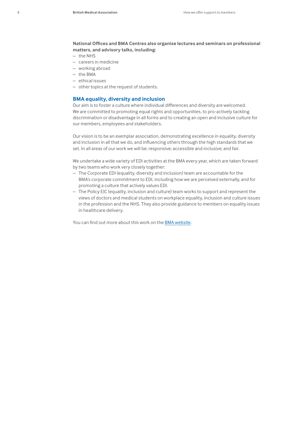**National Offices and BMA Centres also organise lectures and seminars on professional matters, and advisory talks, including:**

- the NHS
- careers in medicine
- working abroad
- the BMA
- ethical issues
- other topics at the request of students.

## **BMA equality, diversity and inclusion**

Our aim is to foster a culture where individual differences and diversity are welcomed. We are committed to promoting equal rights and opportunities, to pro-actively tackling discrimination or disadvantage in all forms and to creating an open and inclusive culture for our members, employees and stakeholders.

Our vision is to be an exemplar association, demonstrating excellence in equality, diversity and inclusion in all that we do, and influencing others through the high standards that we set. In all areas of our work we will be: responsive; accessible and inclusive; and fair.

We undertake a wide variety of EDI activities at the BMA every year, which are taken forward by two teams who work very closely together:

- The Corporate EDI (equality, diversity and inclusion) team are accountable for the BMA's corporate commitment to EDI, including how we are perceived externally, and for promoting a culture that actively values EDI.
- The Policy EIC (equality, inclusion and culture) team works to support and represent the views of doctors and medical students on workplace equality, inclusion and culture issues in the profession and the NHS. They also provide guidance to members on equality issues in healthcare delivery.

You can find out more about this work on the [BMA website](https://www.bma.org.uk/about-us/equality-diversity-and-inclusion/our-corporate-equality-diversity-and-inclusion-strategy).